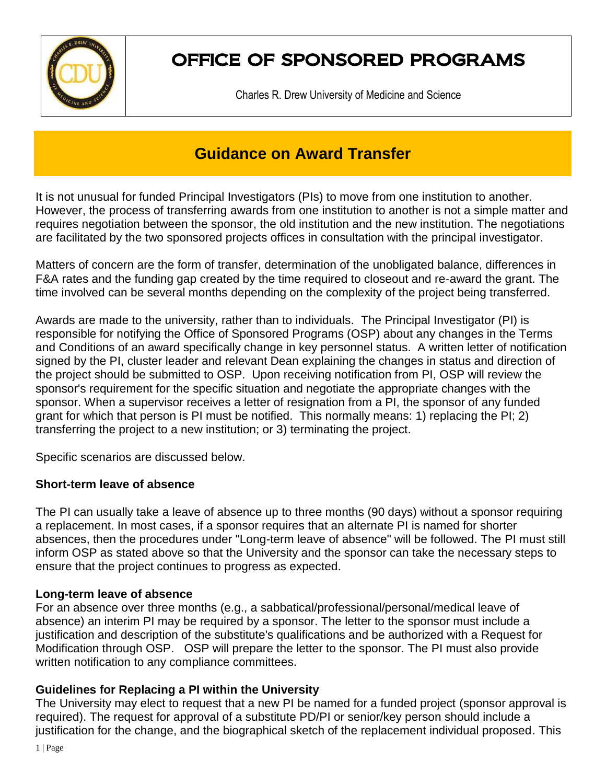

# OFFICE OF SPONSORED PROGRAMS

Charles R. Drew University of Medicine and Science

# **Guidance on Award Transfer**

It is not unusual for funded Principal Investigators (PIs) to move from one institution to another. However, the process of transferring awards from one institution to another is not a simple matter and requires negotiation between the sponsor, the old institution and the new institution. The negotiations are facilitated by the two sponsored projects offices in consultation with the principal investigator.

Matters of concern are the form of transfer, determination of the unobligated balance, differences in F&A rates and the funding gap created by the time required to closeout and re‐award the grant. The time involved can be several months depending on the complexity of the project being transferred.

Awards are made to the university, rather than to individuals. The Principal Investigator (PI) is responsible for notifying the Office of Sponsored Programs (OSP) about any changes in the Terms and Conditions of an award specifically change in key personnel status. A written letter of notification signed by the PI, cluster leader and relevant Dean explaining the changes in status and direction of the project should be submitted to OSP. Upon receiving notification from PI, OSP will review the sponsor's requirement for the specific situation and negotiate the appropriate changes with the sponsor. When a supervisor receives a letter of resignation from a PI, the sponsor of any funded grant for which that person is PI must be notified. This normally means: 1) replacing the PI; 2) transferring the project to a new institution; or 3) terminating the project.

Specific scenarios are discussed below.

# **Short-term leave of absence**

The PI can usually take a leave of absence up to three months (90 days) without a sponsor requiring a replacement. In most cases, if a sponsor requires that an alternate PI is named for shorter absences, then the procedures under "Long-term leave of absence" will be followed. The PI must still inform OSP as stated above so that the University and the sponsor can take the necessary steps to ensure that the project continues to progress as expected.

# **Long-term leave of absence**

For an absence over three months (e.g., a sabbatical/professional/personal/medical leave of absence) an interim PI may be required by a sponsor. The letter to the sponsor must include a justification and description of the substitute's qualifications and be authorized with a Request for Modification through OSP. OSP will prepare the letter to the sponsor. The PI must also provide written notification to any compliance committees.

# **Guidelines for Replacing a PI within the University**

The University may elect to request that a new PI be named for a funded project (sponsor approval is required). The request for approval of a substitute PD/PI or senior/key person should include a justification for the change, and the biographical sketch of the replacement individual proposed. This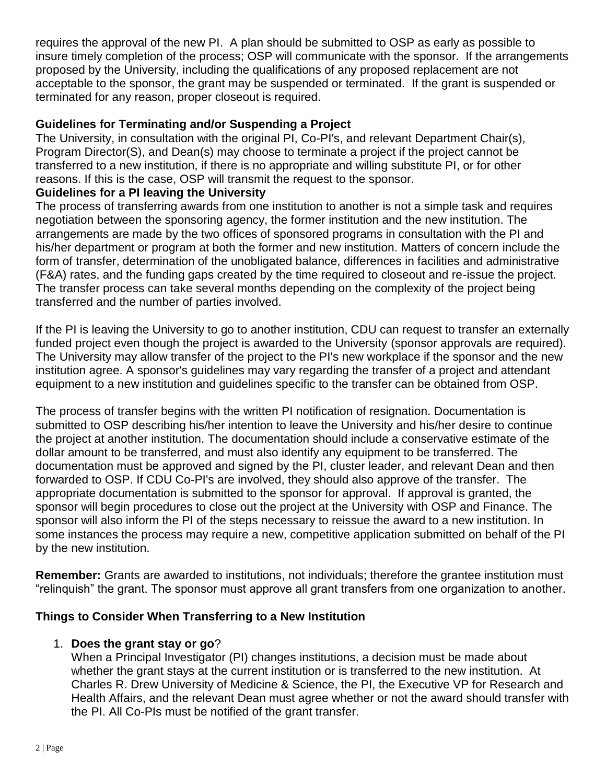requires the approval of the new PI. A plan should be submitted to OSP as early as possible to insure timely completion of the process; OSP will communicate with the sponsor. If the arrangements proposed by the University, including the qualifications of any proposed replacement are not acceptable to the sponsor, the grant may be suspended or terminated. If the grant is suspended or terminated for any reason, proper closeout is required.

#### **Guidelines for Terminating and/or Suspending a Project**

The University, in consultation with the original PI, Co-PI's, and relevant Department Chair(s), Program Director(S), and Dean(s) may choose to terminate a project if the project cannot be transferred to a new institution, if there is no appropriate and willing substitute PI, or for other reasons. If this is the case, OSP will transmit the request to the sponsor.

#### **Guidelines for a PI leaving the University**

The process of transferring awards from one institution to another is not a simple task and requires negotiation between the sponsoring agency, the former institution and the new institution. The arrangements are made by the two offices of sponsored programs in consultation with the PI and his/her department or program at both the former and new institution. Matters of concern include the form of transfer, determination of the unobligated balance, differences in facilities and administrative (F&A) rates, and the funding gaps created by the time required to closeout and re-issue the project. The transfer process can take several months depending on the complexity of the project being transferred and the number of parties involved.

If the PI is leaving the University to go to another institution, CDU can request to transfer an externally funded project even though the project is awarded to the University (sponsor approvals are required). The University may allow transfer of the project to the PI's new workplace if the sponsor and the new institution agree. A sponsor's guidelines may vary regarding the transfer of a project and attendant equipment to a new institution and guidelines specific to the transfer can be obtained from OSP.

The process of transfer begins with the written PI notification of resignation. Documentation is submitted to OSP describing his/her intention to leave the University and his/her desire to continue the project at another institution. The documentation should include a conservative estimate of the dollar amount to be transferred, and must also identify any equipment to be transferred. The documentation must be approved and signed by the PI, cluster leader, and relevant Dean and then forwarded to OSP. If CDU Co-PI's are involved, they should also approve of the transfer. The appropriate documentation is submitted to the sponsor for approval. If approval is granted, the sponsor will begin procedures to close out the project at the University with OSP and Finance. The sponsor will also inform the PI of the steps necessary to reissue the award to a new institution. In some instances the process may require a new, competitive application submitted on behalf of the PI by the new institution.

**Remember:** Grants are awarded to institutions, not individuals; therefore the grantee institution must "relinquish" the grant. The sponsor must approve all grant transfers from one organization to another.

#### **Things to Consider When Transferring to a New Institution**

#### 1. **Does the grant stay or go**?

When a Principal Investigator (PI) changes institutions, a decision must be made about whether the grant stays at the current institution or is transferred to the new institution. At Charles R. Drew University of Medicine & Science, the PI, the Executive VP for Research and Health Affairs, and the relevant Dean must agree whether or not the award should transfer with the PI. All Co-PIs must be notified of the grant transfer.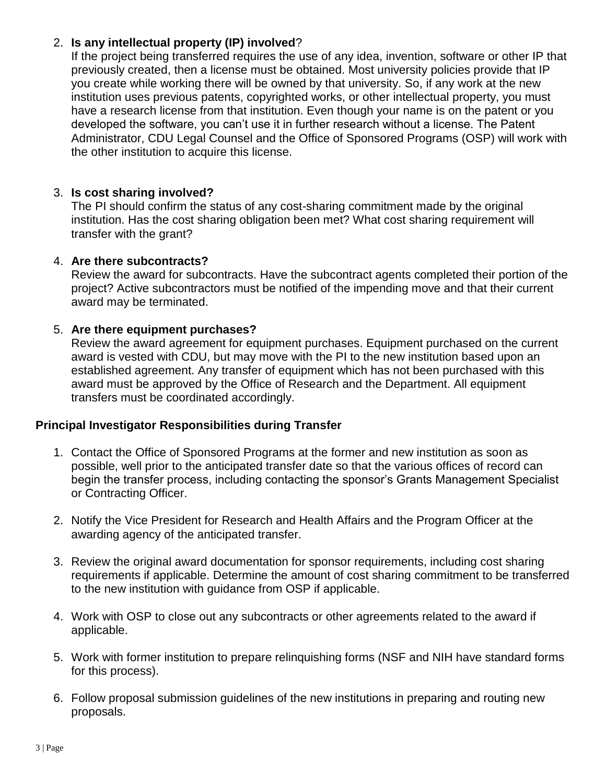# 2. **Is any intellectual property (IP) involved**?

If the project being transferred requires the use of any idea, invention, software or other IP that previously created, then a license must be obtained. Most university policies provide that IP you create while working there will be owned by that university. So, if any work at the new institution uses previous patents, copyrighted works, or other intellectual property, you must have a research license from that institution. Even though your name is on the patent or you developed the software, you can't use it in further research without a license. The Patent Administrator, CDU Legal Counsel and the Office of Sponsored Programs (OSP) will work with the other institution to acquire this license.

# 3. **Is cost sharing involved?**

The PI should confirm the status of any cost-sharing commitment made by the original institution. Has the cost sharing obligation been met? What cost sharing requirement will transfer with the grant?

#### 4. **Are there subcontracts?**

Review the award for subcontracts. Have the subcontract agents completed their portion of the project? Active subcontractors must be notified of the impending move and that their current award may be terminated.

#### 5. **Are there equipment purchases?**

Review the award agreement for equipment purchases. Equipment purchased on the current award is vested with CDU, but may move with the PI to the new institution based upon an established agreement. Any transfer of equipment which has not been purchased with this award must be approved by the Office of Research and the Department. All equipment transfers must be coordinated accordingly.

#### **Principal Investigator Responsibilities during Transfer**

- 1. Contact the Office of Sponsored Programs at the former and new institution as soon as possible, well prior to the anticipated transfer date so that the various offices of record can begin the transfer process, including contacting the sponsor's Grants Management Specialist or Contracting Officer.
- 2. Notify the Vice President for Research and Health Affairs and the Program Officer at the awarding agency of the anticipated transfer.
- 3. Review the original award documentation for sponsor requirements, including cost sharing requirements if applicable. Determine the amount of cost sharing commitment to be transferred to the new institution with guidance from OSP if applicable.
- 4. Work with OSP to close out any subcontracts or other agreements related to the award if applicable.
- 5. Work with former institution to prepare relinquishing forms (NSF and NIH have standard forms for this process).
- 6. Follow proposal submission guidelines of the new institutions in preparing and routing new proposals.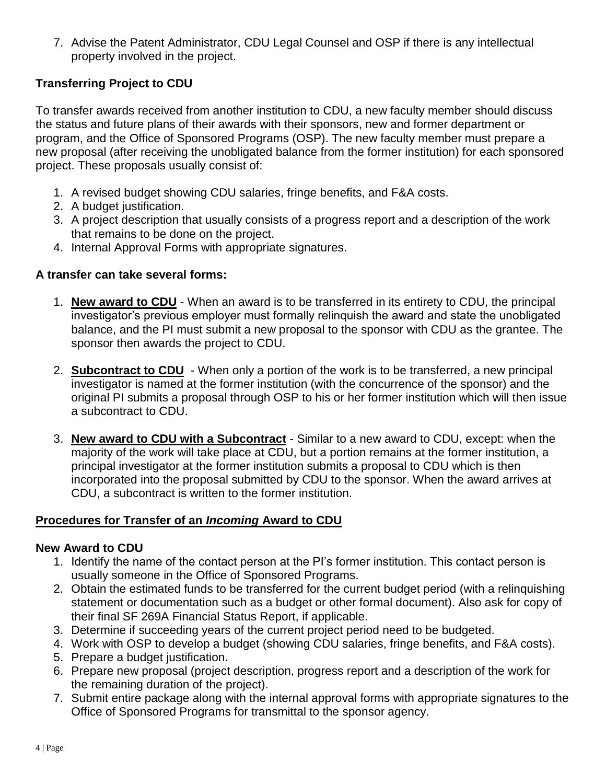7. Advise the Patent Administrator, CDU Legal Counsel and OSP if there is any intellectual property involved in the project.

# **Transferring Project to CDU**

To transfer awards received from another institution to CDU, a new faculty member should discuss the status and future plans of their awards with their sponsors, new and former department or program, and the Office of Sponsored Programs (OSP). The new faculty member must prepare a new proposal (after receiving the unobligated balance from the former institution) for each sponsored project. These proposals usually consist of:

- 1. A revised budget showing CDU salaries, fringe benefits, and F&A costs.
- 2. A budget justification.
- 3. A project description that usually consists of a progress report and a description of the work that remains to be done on the project.
- 4. Internal Approval Forms with appropriate signatures.

#### **A transfer can take several forms:**

- 1. **New award to CDU** When an award is to be transferred in its entirety to CDU, the principal investigator's previous employer must formally relinquish the award and state the unobligated balance, and the PI must submit a new proposal to the sponsor with CDU as the grantee. The sponsor then awards the project to CDU.
- 2. **Subcontract to CDU** When only a portion of the work is to be transferred, a new principal investigator is named at the former institution (with the concurrence of the sponsor) and the original PI submits a proposal through OSP to his or her former institution which will then issue a subcontract to CDU.
- 3. **New award to CDU with a Subcontract** Similar to a new award to CDU, except: when the majority of the work will take place at CDU, but a portion remains at the former institution, a principal investigator at the former institution submits a proposal to CDU which is then incorporated into the proposal submitted by CDU to the sponsor. When the award arrives at CDU, a subcontract is written to the former institution.

# **Procedures for Transfer of an** *Incoming* **Award to CDU**

#### **New Award to CDU**

- 1. Identify the name of the contact person at the PI's former institution. This contact person is usually someone in the Office of Sponsored Programs.
- 2. Obtain the estimated funds to be transferred for the current budget period (with a relinquishing statement or documentation such as a budget or other formal document). Also ask for copy of their final SF 269A Financial Status Report, if applicable.
- 3. Determine if succeeding years of the current project period need to be budgeted.
- 4. Work with OSP to develop a budget (showing CDU salaries, fringe benefits, and F&A costs).
- 5. Prepare a budget justification.
- 6. Prepare new proposal (project description, progress report and a description of the work for the remaining duration of the project).
- 7. Submit entire package along with the internal approval forms with appropriate signatures to the Office of Sponsored Programs for transmittal to the sponsor agency.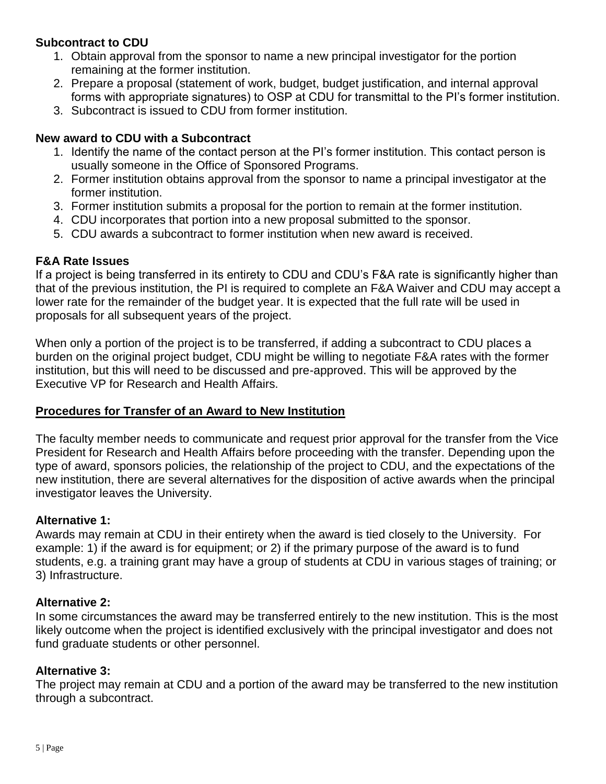# **Subcontract to CDU**

- 1. Obtain approval from the sponsor to name a new principal investigator for the portion remaining at the former institution.
- 2. Prepare a proposal (statement of work, budget, budget justification, and internal approval forms with appropriate signatures) to OSP at CDU for transmittal to the PI's former institution.
- 3. Subcontract is issued to CDU from former institution.

#### **New award to CDU with a Subcontract**

- 1. Identify the name of the contact person at the PI's former institution. This contact person is usually someone in the Office of Sponsored Programs.
- 2. Former institution obtains approval from the sponsor to name a principal investigator at the former institution.
- 3. Former institution submits a proposal for the portion to remain at the former institution.
- 4. CDU incorporates that portion into a new proposal submitted to the sponsor.
- 5. CDU awards a subcontract to former institution when new award is received.

#### **F&A Rate Issues**

If a project is being transferred in its entirety to CDU and CDU's F&A rate is significantly higher than that of the previous institution, the PI is required to complete an F&A Waiver and CDU may accept a lower rate for the remainder of the budget year. It is expected that the full rate will be used in proposals for all subsequent years of the project.

When only a portion of the project is to be transferred, if adding a subcontract to CDU places a burden on the original project budget, CDU might be willing to negotiate F&A rates with the former institution, but this will need to be discussed and pre-approved. This will be approved by the Executive VP for Research and Health Affairs.

#### **Procedures for Transfer of an Award to New Institution**

The faculty member needs to communicate and request prior approval for the transfer from the Vice President for Research and Health Affairs before proceeding with the transfer. Depending upon the type of award, sponsors policies, the relationship of the project to CDU, and the expectations of the new institution, there are several alternatives for the disposition of active awards when the principal investigator leaves the University.

#### **Alternative 1:**

Awards may remain at CDU in their entirety when the award is tied closely to the University. For example: 1) if the award is for equipment; or 2) if the primary purpose of the award is to fund students, e.g. a training grant may have a group of students at CDU in various stages of training; or 3) Infrastructure.

#### **Alternative 2:**

In some circumstances the award may be transferred entirely to the new institution. This is the most likely outcome when the project is identified exclusively with the principal investigator and does not fund graduate students or other personnel.

#### **Alternative 3:**

The project may remain at CDU and a portion of the award may be transferred to the new institution through a subcontract.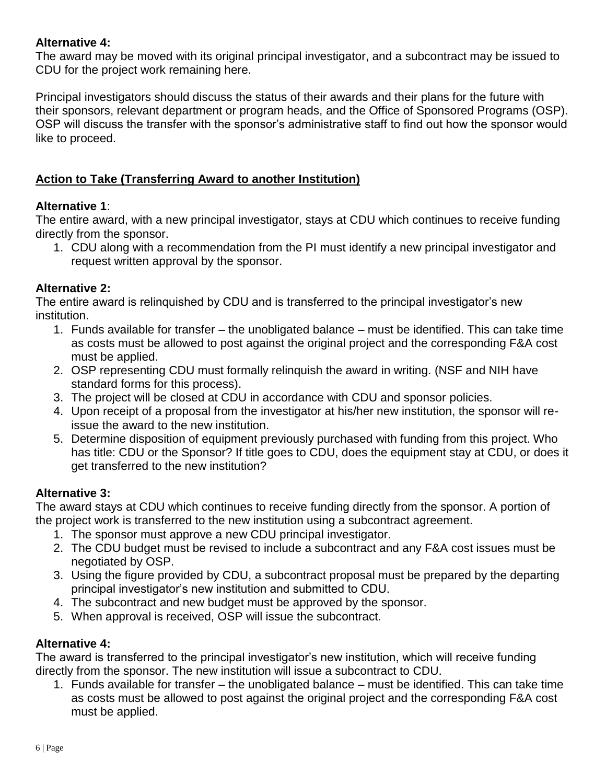# **Alternative 4:**

The award may be moved with its original principal investigator, and a subcontract may be issued to CDU for the project work remaining here.

Principal investigators should discuss the status of their awards and their plans for the future with their sponsors, relevant department or program heads, and the Office of Sponsored Programs (OSP). OSP will discuss the transfer with the sponsor's administrative staff to find out how the sponsor would like to proceed.

# **Action to Take (Transferring Award to another Institution)**

#### **Alternative 1**:

The entire award, with a new principal investigator, stays at CDU which continues to receive funding directly from the sponsor.

1. CDU along with a recommendation from the PI must identify a new principal investigator and request written approval by the sponsor.

# **Alternative 2:**

The entire award is relinquished by CDU and is transferred to the principal investigator's new institution.

- 1. Funds available for transfer the unobligated balance must be identified. This can take time as costs must be allowed to post against the original project and the corresponding F&A cost must be applied.
- 2. OSP representing CDU must formally relinquish the award in writing. (NSF and NIH have standard forms for this process).
- 3. The project will be closed at CDU in accordance with CDU and sponsor policies.
- 4. Upon receipt of a proposal from the investigator at his/her new institution, the sponsor will reissue the award to the new institution.
- 5. Determine disposition of equipment previously purchased with funding from this project. Who has title: CDU or the Sponsor? If title goes to CDU, does the equipment stay at CDU, or does it get transferred to the new institution?

# **Alternative 3:**

The award stays at CDU which continues to receive funding directly from the sponsor. A portion of the project work is transferred to the new institution using a subcontract agreement.

- 1. The sponsor must approve a new CDU principal investigator.
- 2. The CDU budget must be revised to include a subcontract and any F&A cost issues must be negotiated by OSP.
- 3. Using the figure provided by CDU, a subcontract proposal must be prepared by the departing principal investigator's new institution and submitted to CDU.
- 4. The subcontract and new budget must be approved by the sponsor.
- 5. When approval is received, OSP will issue the subcontract.

# **Alternative 4:**

The award is transferred to the principal investigator's new institution, which will receive funding directly from the sponsor. The new institution will issue a subcontract to CDU.

1. Funds available for transfer – the unobligated balance – must be identified. This can take time as costs must be allowed to post against the original project and the corresponding F&A cost must be applied.